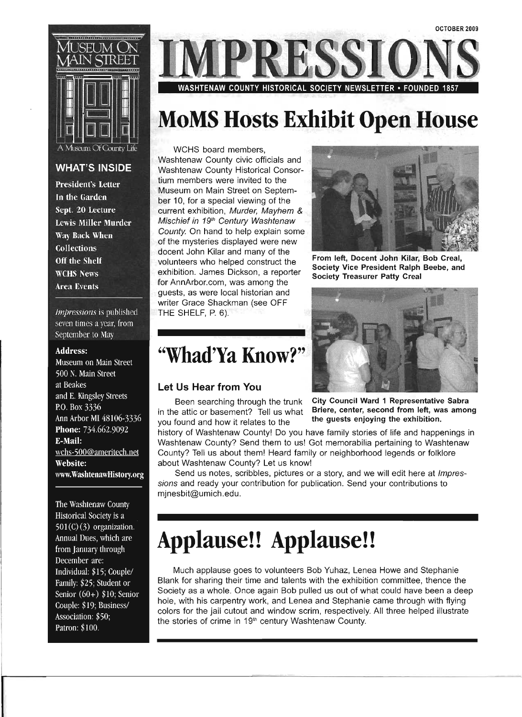

#### **WHAT'S INSIDE**

**President's Letter** In the Garden Sept. 20 Lecture **Lewis Miller Murder** Way Back When **Collections** Off the Shelf **WCHS News Area Events** 

*Impressions* is published seven times a year, from September to May

#### **Address:**

Museum on Main Street 500 N. Main Street at Beakes and E. Kingsley Streets P.O. Box 3336 Ann Arbor MI 48106-3336 Phone: 734.662.9092 **F-Mail:** wchs-500@ameritech.net Website: www.WashtenawHistory.org

The Washtenaw County Historical Society is a  $501(C)(3)$  organization. Annual Dues, which are from January through December are: Individual: \$15; Couple/ Family: \$25; Student or Senior  $(60+)$  \$10; Senior Couple: \$19; Business/ Association: \$50; Patron: \$100.



# **MoMS Hosts Exhibit Open House**

WCHS board members, Washtenaw County civic officials and Washtenaw County Historical Consortium members were invited to the Museum on Main Street on September 10, for a special viewing of the current exhibition, Murder, Mayhem & Mischief in 19<sup>th</sup> Century Washtenaw County. On hand to help explain some of the mysteries displayed were new docent John Kilar and many of the volunteers who helped construct the exhibition. James Dickson, a reporter for AnnArbor.com, was among the guests, as were local historian and writer Grace Shackman (see OFF THE SHELF, P. 6).



From left, Docent John Kilar, Bob Creal, Society Vice President Ralph Beebe, and Society Treasurer Patty Creal



Been searching through the trunk City Council Ward 1 Representative Sabra in the attic or basement? Tell us what Briere, center, second from left, was among

history of Washtenaw County! Do you have family stories of life and happenings in Washtenaw County? Send them to us! Got memorabilia pertaining to Washtenaw County? Tell us about them! Heard family or neighborhood legends or folklore about Washtenaw County? Let us know!

Send us notes, scribbles, pictures or a story, and we will edit here at *Impres*sions and ready your contribution for publication. Send your contributions to mjnesbit@umich.edu.

# **Applause!! Applause!!**

Much applause goes to volunteers Bob Yuhaz, Lenea Howe and Stephanie Blank for sharing their time and talents with the exhibition committee, thence the Society as a whole. Once again Bob pulled us out of what could have been a deep hole, with his carpentry work, and Lenea and Stephanie came through with flying colors for the jail cutout and window scrim, respectively. All three helped illustrate the stories of crime in 19<sup>th</sup> century Washtenaw County.

### **"Wbad'Ya KnOW?"**

#### **Let Us Hear from You**

you found and how it relates to the the guests enjoying the exhibition.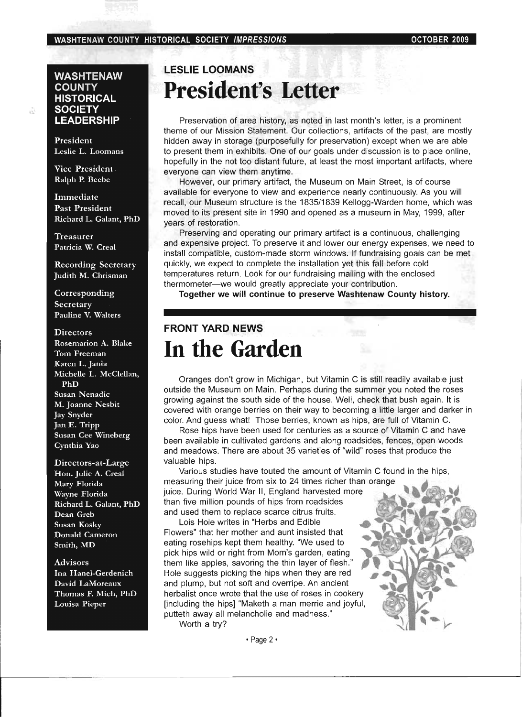#### WASHTENAW COUNTY HISTORICAL SOCIETY IMPRESSIONS **COUNTY 1999** OCTOBER 2009

#### **WASHTENAW COUNTY HISTORICAL SOCIETY LEADERSHIP**

President Leslie L. Loomans

Vice President Ralph P. Beebe

Immediate Past President Richard L. Galant, PhD

Treasurer Patricia W. Creal

Recording Secretary Judith M. Chrisman

Corresponding **Secretary** Pauline V. Walters

#### **Directors**

Rosemarion A. Blake Tom Freeman Karen L. Jania Michelle L. McClellan, PhD Susan Nenadic M. Joanne Nesbit Jay Snyder Jan E. Tripp Susan Cee Wineberg Cynthia Yao

Directors-at-Large Hon. Julie A. Creal Mary Florida Wayne Florida Richard L. Galant, PhD Dean Greb Susan Kosky Donald Cameron Smith, MD

Advisors Ina Hanel-Gerdenich David LaMoreaux Thomas F. Mich, PhD Louisa Pieper

### **LESLIE LOOMANS President's Letter**

Preservation of area history, as noted in last month's letter, is a prominent theme of our Mission Statement. Our collections, artifacts of the past, are mostly hidden away in storage (purposefully for preservation) except when we are able to present them in exhibits. One of our goals under discussion is to place online, hopefully in the not too distant future, at least the most important artifacts, where everyone can view them anytime.

However, our primary artifact, the Museum on Main Street, is of course available for everyone to view and experience nearly continuously. As you will recall, our Museum structure is the 1835/1839 Kellogg~Warden home, which was moved to its present site in 1990 and opened as a museum in May, 1999, after years of restoration.

Preserving and operating our primary artifact is a continuous, challenging and expensive project. To preserve it and lower our energy expenses, we need to install compatible, custom-made storm windows. If fundraising goals can be met quickly, we expect to complete the installation yet this fall before cold temperatures return. Look for our fundraising mailing with the enclosed thermometer-we would greatly appreciate your contribution.

Together we will continue to preserve Washtenaw County history.

### **FRONT YARD NEWS In the Garden**

Oranges don't grow in Michigan, but Vitamin C is still readily available just outside the Museum on Main. Perhaps during the summer you noted the roses growing against the south side of the house. Well, check that bush again. It is covered with orange berries on their way to becoming a little larger and darker in color. And guess what! Those berries, known as hips, are full of Vitamin C.

Rose hips have been used for centuries as a source of Vitamin C and have been available in cultivated gardens and along roadsides, fences, open woods and meadows. There are about 35 varieties of "wild" roses that produce the valuable hips.

Various studies have touted the amount of Vitamin C found in the hips, measuring their juice from six to 24 times richer than orange<br>juice. During World War II, England harvested more<br>than five million pounds of hips from roadsides and used them to replace scarce citrus fruits.<br>Lois Hole writes in "Herbs and Edible than five million pounds of hips from roadsides

Flowers" that her mother and aunt insisted that eating rosehips kept them healthy. "We used to pick hips wild or right from Mom's garden, eating them like apples, savoring the thin layer of flesh.' Hole suggests picking the hips when they are red and plump, but not soft and overripe. An ancient herbalist once wrote that the use of roses in cookery [including the hips] "Maketh a man merrie and joyful, putteth away all melancholie and madness." Worth a try?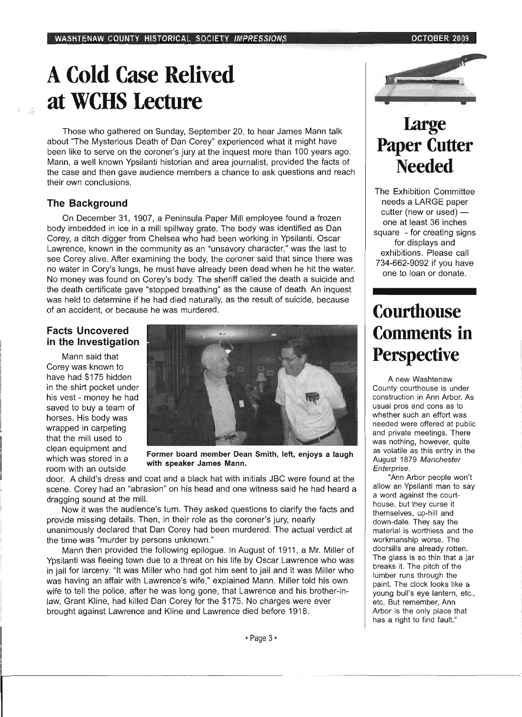# **A Cold Case Relived at WCBS Lecture**

Those who gathered on Sunday, September 20, to hear James Mann talk about "The Mysterious Death of Dan Corey" experienced what it might have been like to serve on the coroner's jury at the inquest more than 100 years ago. Mann, a well known Ypsilanti historian and area journalist, provided the facts of the case and then gave audience members a chance to ask questions and reach their own conclusions.

#### **The Background**

On December 31,1907, a Peninsula Paper Mill employee found a frozen body imbedded in ice in a mill spillway grate. The body was identified as Dan Corey, a ditch digger from Chelsea who had been working in Ypsilanti. Oscar Lavyrence, known in the community as an "unsavory character," was the last to see Corey alive. After examining the body, the coroner said that since there was no water in Cory's lungs, he must have already been dead when he hit the water. No money was found on Corey's body. The sheriff called the death a suicide and the death certificate gave "stopped breathing" as the cause of death. An inquest was held to determine if he had died naturally, as the result of suicide, because of an accident, or because he was murdered.

#### **Facts Uncovered in the Investigation**

Mann said that Corey was known to have had \$175 hidden in the shirt pocket under his vest - money he had saved to buy a team of horses. His body was wrapped in carpeting that the mill used to clean equipment and which was stored in a room with an outside



Former board member Dean Smith, left, enjoys a laugh with speaker James Mann.

door. A child's dress and coat and a black hat with initials JBC were found at the scene. Corey had an "abrasion" on his head and one witness said he had heard a dragging sound at the mill.

Now it was the audience's turn. They asked questions to clarify the facts and provide missing details. Then, in their role as the coroner's jury, nearly unanimously declared that Dan Corey had been murdered. The actual verdict at the time was "murder by persons unknown."

Mann then provided the following epilogue. In August of 1911, a Mr. Miller of Ypsilanti was fleeing town due to a threat on his life by Oscar Lawrence who was in jail for larceny. "It was Miller who had got him sent to jail and it was Miller who was having an affair with Lawrence's wife," explained Mann. Miller told his own wife to tell the police, after he was long gone, that Lawrence and his brother-inlaw, Grant Kline, had killed Dan Corey for the \$175. No charges were ever brought against Lawrence and Kline and Lawrence died before 1918.



### **Large Paper Cutter Needed**

The Exhibition Committee needs a LARGE paper cutter (new or used)  $$ one at least 36 inches square - for creating signs for displays and exhibitions. Please call 734-662-9092 if you have one to loan or donate.

### **Courthouse Comments in Perspective**

A new Washtenaw County courthouse is under construction in Ann Arbor. As usual pros and cons as to whether such an effort was needed were offered at public and private meetings. There was nothing, however, quite as volatile as this entry in the August 1879 Manchester Enterprise .

. "Ann Arbor people won't allow an Ypsilanti man to say a word against the courthouse, but they curse it themselves, up-hill and down-dale. They say the material is worthless and the workmanship worse. The doorsills are already rotten. The glass is so thin that a jar breaks it. The pitch of the lumber runs through the paint. The clock looks like a young bull's eye lantern, etc., etc. But remember, Ann Arbor is the only place that has a right to find fault."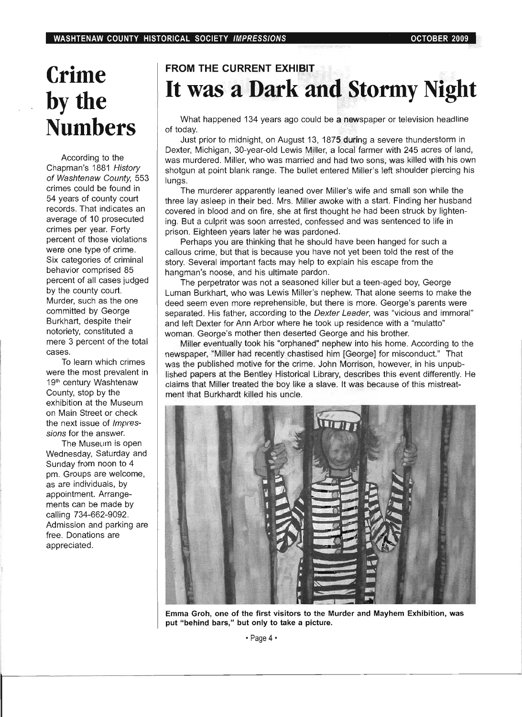# **Crime**  by the **Numbers**

According to the Chapman's 1881 History of Washtenaw County, 553 crimes could be found in 54 years of county court records. That indicates an average of 10 prosecuted crimes per year. Forty percent of those violations were one type of crime. Six categories of criminal behavior comprised 85 percent of all cases judged by the county court. Murder, such as the one committed by George Burkhart, despite their notoriety, constituted a mere 3 percent of the total cases.

To learn which crimes were the most prevalent in 19<sup>th</sup> century Washtenaw County, stop by the exhibition at the Museum on Main Street or check the next issue of *Impres*sions for the answer.

The Museum is open Wednesday, Saturday and Sunday from noon to 4 pm. Groups are welcome, as are individuals, by appointment. Arrangements can be made by calling 734-662-9092. Admission and parking are free. Donations are appreciated.

### **FROM THE CURRENT EXHIBIT It was a Dark and Stormy Night**

What happened 134 years ago could be a newspaper or television headline of today.

Just prior to midnight, on August 13, 1875 during a severe thunderstorm in Dexter, Michigan, 30-year-old Lewis Miller, a local farmer with 245 acres of land, was murdered. Miller, who was married and had two sons, was killed with his own shotgun at point blank range. The bullet entered Miller's left shoulder piercing his lungs.

The murderer apparently leaned over Miller's wife and small son while the three lay asleep in their bed. Mrs. Miller awoke with a start. Finding her husband ' covered in blood and on fire, she at first thought he had been struck by lightening. But a culprit was soon arrested, confessed and was sentenced to life in prison. Eighteen years later he was pardoned.

Perhaps you are thinking that he should have been hanged for such a callous crime, but that is because you have not yet been told the rest of the story. Several important facts may help to explain his escape from the hangman's noose, and his ultimate pardon.

The perpetrator was not a seasoned killer but a teen-aged boy, George Luman Burkhart, who was Lewis Miller's nephew. That alone seems to make the deed seem even more reprehensible, but there is more. George's parents were separated. His father, according to the *Dexter Leader*, was "vicious and immoral" and left Dexter for Ann Arbor where he took up residence with a "mulatto" woman. George's mother then deserted George and his brother.

Miller eventually took his "orphaned" nephew into his home. According to the newspaper, "Miller had recently chastised him [George] for misconduct." That was the published motive for the crime. John Morrison, however, in his unpublished papers at the Bentley Historical Library, describes this event differently. He claims that Miller treated the boy like a slave. It was because of this mistreatment that Burkhardt killed his uncle.



Emma Groh, one of the first visitors to the Murder and Mayhem Exhibition, was put "behind bars," but only to take a picture.

• Page 4·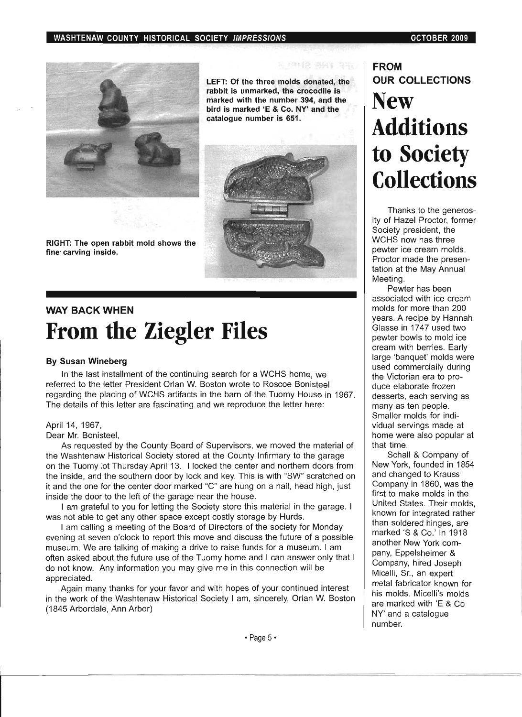

LEFT: Of the three molds donated, the rabbit is unmarked, the crocodile is marked with the number 394, and the bird is marked 'E & Co. NY' and the catalogue number is 651.

图 图 12 381 390



RIGHT: The open rabbit mold shows the fine· carving inside.

### **WAY BACK WHEN From the Ziegler Files**

#### By Susan Wineberg

In the last installment of the continuing search for a WCHS home, we referred to the letter President Orlan W. Boston wrote to Roscoe Bonisteel regarding the placing of WCHS artifacts in the barn of the Tuomy House in 1967. The details of this letter are fascinating and we reproduce the letter here:

#### April 14, 1967,

#### Dear Mr. Bonisteel,

As requested by the County Board of Supervisors, we moved the material of the Washtenaw Historical Society stored at the County Infirmary to the garage on the Tuomy lot Thursday April 13. I locked the center and northern doors from the inside, and the southern door by lock and key. This is with "SW' scratched on it and the one for the center door marked "C" are hung on a nail, head high, just inside the door to the left of the garage near the house.

I am grateful to you for letting the Society store this material in the garage. I was not able to get any other space except costly storage by Hurds.

I am calling a meeting of the Board of Directors of the society for Monday evening at seven o'clock to report this move and discuss the future of a possible museum. We are talking of making a drive to raise funds for a museum. I am often asked about the future use of the Tuomy home and I can answer only that I do not know. Any information you may give me in this connection will be appreciated.

Again many thanks for your favor and with hopes of your continued interest in the work of the Washtenaw Historical Society I am, sincerely, Orlan W. Boston (1845 Arbordale, Ann Arbor)

### **FROM OUR COLLECTIONS New Additions to Society Collections**

Thanks to the generosity of Hazel Proctor, former Society president, the WCHS now has three pewter ice cream molds. Proctor made the presentation at the May Annual Meeting.

Pewter has been associated with ice cream molds for more than 200 years. A recipe by Hannah Glasse in 1747 used two pewter bowls to mold ice cream with berries. Early large 'banquet' molds were used commercially during the Victorian era to produce elaborate frozen desserts, each serving as many as ten people. Smaller molds for individual servings made at home were also popular at that time.

Schall & Company of New York, founded in 1854 and changed to Krauss Company in 1860, was the first to make molds in the United States. Their molds, known for integrated rather than soldered hinges, are marked'S & Co.' In 1918 another New York company, Eppelsheimer & Company, hired Joseph Micelli, Sr., an expert metal fabricator known for his molds. Micelli's molds are marked with 'E & Co NY' and a catalogue number.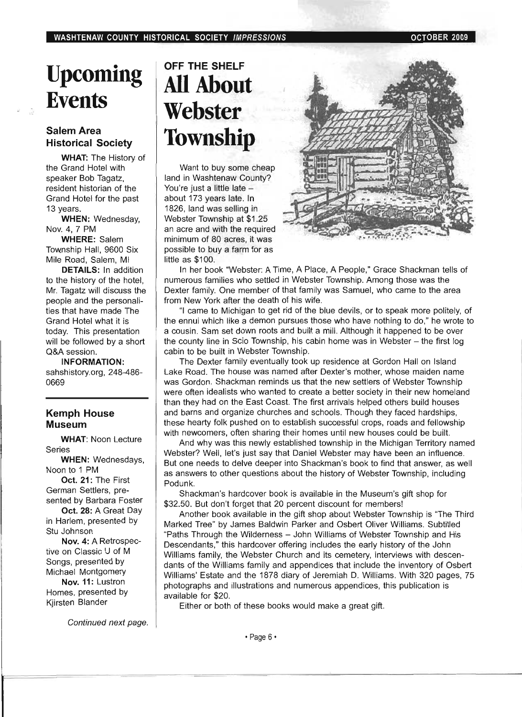# **Upcoming Events**

#### Salem Area Historical Society

WHAT: The History of the Grand Hotel with speaker Bob Tagatz, resident historian of the Grand Hotel for the past 13 years.

WHEN: Wednesday, Nov. 4,7 PM

WHERE: Salem Township Hall, 9600 Six Mile Road, Salem, MI

DETAILS: In addition to the history of the hotel, Mr. Tagatz will discuss the people and the personalities that have made The Grand Hotel what it is today. This presentation will be followed by a short Q&A session.

INFORMATION: sahshistory.org, 248-486- 0669

#### Kemph House Museum

WHAT: Noon Lecture Series

WHEN: Wednesdays, Noon to 1 PM

Oct. 21: The First German Settlers, presented by Barbara Foster

Oct. 28: A Great Day in Harlem, presented by Stu Johnson

Nov. 4: A Retrospec~ tive on Classic U of M Songs, presented by Michael Montgomery

Nov. 11: Lustron Homes, presented by Kjirsten Blander

Continued next page.

### OFF THE SHELF **All About Webster Township**

Want to buy some cheap land in Washtenaw County? You're just a little late about 173 years late. In 1826, land was selling in Webster Township at \$1.25 an acre and with the required minimum of 80 acres, it was possible to buy a farm for as little as \$100.



In her book "Webster: A Time, A Place, A People," Grace Shackman tells of numerous families who settled in Webster Township. Among those was the Dexter family. One member of that family was Samuel, who came to the area from New York after the death of his wife.

"I came to Michigan to get rid of the blue devils, or to speak more politely, of the ennui which like a demon pursues those who have nothing to do," he wrote to a cousin. Sam set down roots and built a mill. Although it happened to be over the county line in Scio Township, his cabin home was in Webster - the first log cabin to be built in Webster Township.

The Dexter family eventually took up residence at Gordon Hall on Island Lake Road. The house was named after Dexter's mother, whose maiden name was Gordon. Shackman reminds us that the new settlers of Webster Township were often idealists who wanted to create a better society in their new homeland than they had on the East Coast. The first arrivals helped others build houses and barns and organize churches and schools. Though they faced hardships, these hearty folk pushed on to establish successful crops, roads and fellowship with newcomers, often sharing their homes until new houses could be built.

And why was this newly established township in the Michigan Territory named Webster? Well, let's just say that Daniel Webster may have been an influence. But one needs to delve deeper into Shackman's book to find that answer, as well as answers to other questions about the history of Webster Township, including Podunk.

Shackman's hardcover book is available in the Museum's gift shop for \$32.50. But don't forget that 20 percent discount for members!

Another book available in the gift shop about Webster Township is ''The Third Marked Tree" by James Baldwin Parker and Osbert Oliver Williams. Subtitled "Paths Through the Wilderness - John Williams of Webster Township and His Descendants," this hardcover offering includes the early history of the John Williams family, the Webster Church and its cemetery, interviews with descendants of the Williams family and appendices that include the inventory of Osbert Williams' Estate and the 1878 diary of Jeremiah D. Williams. With 320 pages, 75 photographs and illustrations and numerous appendices, this publication is available for \$20.

Either or both of these books would make a great gift.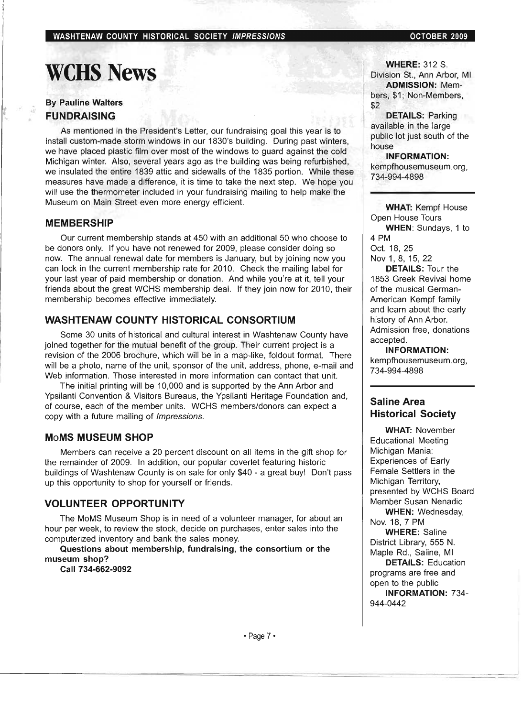### **weHS** News

#### By Pauline Walters FUNDRAISING

As mentioned in the President's Letter, our fundraising goal this year is to install custom-made storm windows in our 1830's building. During past winters, we have placed plastic film over most of the windows to guard against the cold Michigan winter. Also, several years ago as the building was being refurbished, we insulated the entire 1839 attic and sidewalls of the 1835 portion. While these measures have made a difference, it is time to take the next step. We hope you will use the thermometer included in your fundraising mailing to help make the Museum on Main Street even more energy efficient.

#### MEMBERSHIP

Our current membership stands at 450 with an additional 50 who choose to be donors only. If you have not renewed for 2009, please consider doing so now. The annual renewal date for members is January, but by joining now you can lock in the current membership rate for 2010. Check the mailing label for your last year of paid membership or donation. And while you're at it, tell your friends about the great WCHS membership deal. If they join now for 2010, their membership becomes effective immediately.

#### WASHTENAW COUNTY HISTORICAL CONSORTIUM

Some 30 units of historical and cultural interest in Washtenaw County have joined together for the mutual benefit of the group. Their current project is a revision of the 2006 brochure, which will be in a map-like, foldout format. There will be a photo, name of the unit, sponsor of the unit, address, phone, e-mail and Web information. Those interested in more information can contact that unit.

The initial printing will be 10,000 and is supported by the Ann Arbor and Ypsilanti Convention & Visitors Bureaus, the Ypsilanti Heritage Foundation and, of course, each of the member units. WCHS members/donors can expect a copy with a future mailing of Impressions.

#### MoMS MUSEUM SHOP

Members can receive a 20 percent discount on all items in the gift shop for the remainder of 2009. In addition, our popular coverlet featuring historic buildings of Washtenaw County is on sale for only \$40 - a great buy! Don't pass up this opportunity to shop for yourself or friends.

#### VOLUNTEER OPPORTUNITY

The MoMS Museum Shop is in need of a volunteer manager, for about an hour per week, to review the stock, decide on purchases, enter sales into the computerized inventory and bank the sales money.

Questions about membership, fundraising, the consortium or the museum shop?

Call 734-662-9092

**WHERE: 312 S.** Division St., Ann Arbor, MI ADMISSION: Members, \$1; Non-Members, \$2

DETAILS: Parking available in the large public lot just south of the house

INFORMATION: kempfhousemuseum.org, 734-994-4898

WHAT: Kempf House Open House Tours WHEN: Sundays, 1 to

4 PM Oct. 18,25

Nov 1, 8, 15, 22

DETAILS: Tour the 1853 Greek Revival home of the musical German-American Kempf family and learn about the early history of Ann Arbor. Admission free, donations accepted.

INFORMATION: kempfhousemuseum.org, 734-994-4898

#### Saline Area Historical Society

WHAT: November Educational Meeting Michigan Mania: Experiences of Early Female Settlers in the Michigan Territory, presented by WCHS Board Member Susan Nenadic WHEN: Wednesday, Nov. 18,7 PM WHERE: Saline District Library, 555 N. Maple Rd. , Saline, MI DETAILS: Education programs are free and open to the public INFORMATION: 734- 944-0442